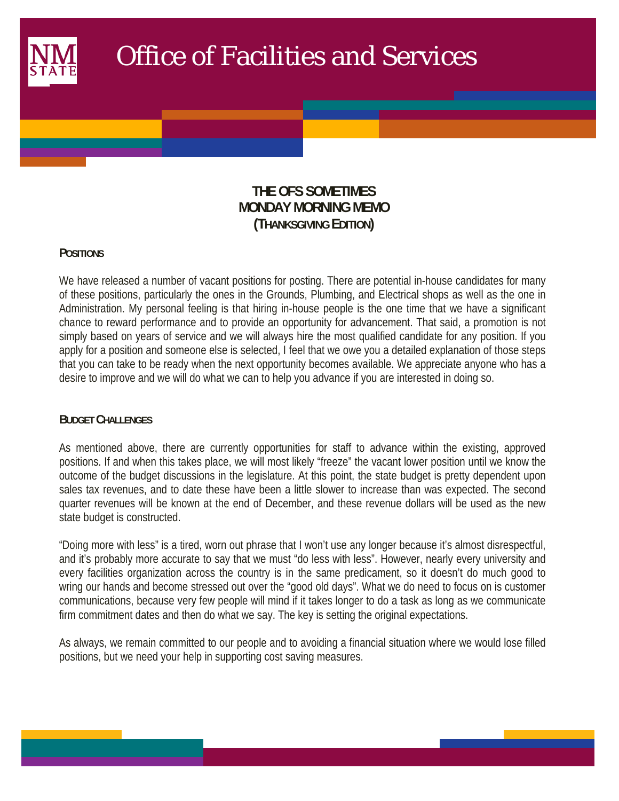

# Office of Facilities and Services

## **THE OFS SOMETIMES MONDAY MORNING MEMO (THANKSGIVING EDITION)**

### **POSITIONS**

 $\mathcal{L}(\mathcal{L})$ 

We have released a number of vacant positions for posting. There are potential in-house candidates for many of these positions, particularly the ones in the Grounds, Plumbing, and Electrical shops as well as the one in Administration. My personal feeling is that hiring in-house people is the one time that we have a significant chance to reward performance and to provide an opportunity for advancement. That said, a promotion is not simply based on years of service and we will always hire the most qualified candidate for any position. If you apply for a position and someone else is selected, I feel that we owe you a detailed explanation of those steps that you can take to be ready when the next opportunity becomes available. We appreciate anyone who has a desire to improve and we will do what we can to help you advance if you are interested in doing so.

### **BUDGET CHALLENGES**

As mentioned above, there are currently opportunities for staff to advance within the existing, approved positions. If and when this takes place, we will most likely "freeze" the vacant lower position until we know the outcome of the budget discussions in the legislature. At this point, the state budget is pretty dependent upon sales tax revenues, and to date these have been a little slower to increase than was expected. The second quarter revenues will be known at the end of December, and these revenue dollars will be used as the new state budget is constructed.

"Doing more with less" is a tired, worn out phrase that I won't use any longer because it's almost disrespectful, and it's probably more accurate to say that we must "do less with less". However, nearly every university and every facilities organization across the country is in the same predicament, so it doesn't do much good to wring our hands and become stressed out over the "good old days". What we do need to focus on is customer communications, because very few people will mind if it takes longer to do a task as long as we communicate firm commitment dates and then do what we say. The key is setting the original expectations.

As always, we remain committed to our people and to avoiding a financial situation where we would lose filled positions, but we need your help in supporting cost saving measures.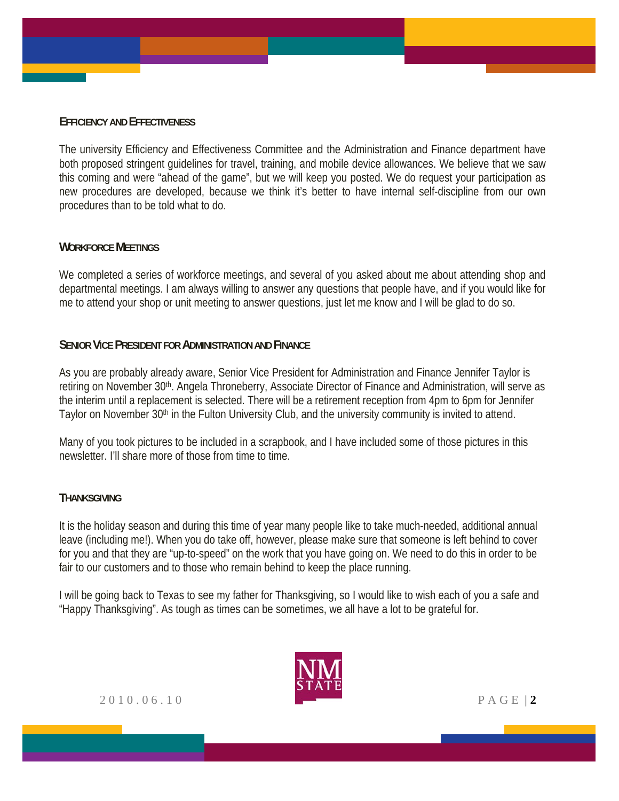#### **EFFICIENCY AND EFFECTIVENESS**

The university Efficiency and Effectiveness Committee and the Administration and Finance department have both proposed stringent guidelines for travel, training, and mobile device allowances. We believe that we saw this coming and were "ahead of the game", but we will keep you posted. We do request your participation as new procedures are developed, because we think it's better to have internal self-discipline from our own procedures than to be told what to do.

### **WORKFORCE MEETINGS**

We completed a series of workforce meetings, and several of you asked about me about attending shop and departmental meetings. I am always willing to answer any questions that people have, and if you would like for me to attend your shop or unit meeting to answer questions, just let me know and I will be glad to do so.

### **SENIOR VICE PRESIDENT FOR ADMINISTRATION AND FINANCE**

As you are probably already aware, Senior Vice President for Administration and Finance Jennifer Taylor is retiring on November 30<sup>th</sup>. Angela Throneberry, Associate Director of Finance and Administration, will serve as the interim until a replacement is selected. There will be a retirement reception from 4pm to 6pm for Jennifer Taylor on November 30<sup>th</sup> in the Fulton University Club, and the university community is invited to attend.

Many of you took pictures to be included in a scrapbook, and I have included some of those pictures in this newsletter. I'll share more of those from time to time.

#### **THANKSGIVING**

It is the holiday season and during this time of year many people like to take much-needed, additional annual leave (including me!). When you do take off, however, please make sure that someone is left behind to cover for you and that they are "up-to-speed" on the work that you have going on. We need to do this in order to be fair to our customers and to those who remain behind to keep the place running.

I will be going back to Texas to see my father for Thanksgiving, so I would like to wish each of you a safe and "Happy Thanksgiving". As tough as times can be sometimes, we all have a lot to be grateful for.



2010.06.10 PAGE | **2**